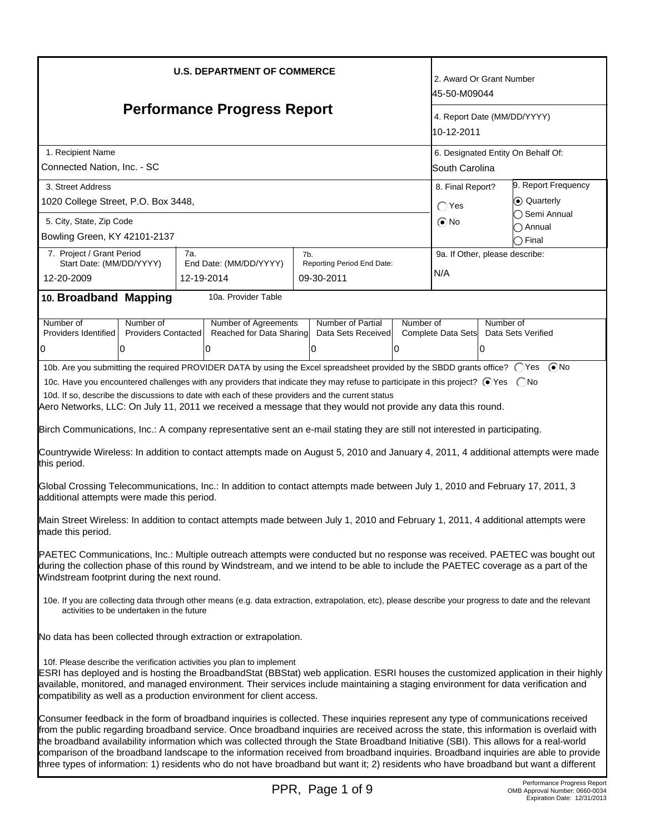| <b>U.S. DEPARTMENT OF COMMERCE</b><br><b>Performance Progress Report</b>                                                                                                                                                                                                                                                                                                                                                                                                                                                                                                                                                                                                                                                                                                                                                                                                                                                                                                                                                                                                                                                                                                                                                                                                                                                                                                                                                                                                                                                                                                                                                                   |                                                       |                                                                 | 2. Award Or Grant Number<br>45-50-M09044  |                                    |  |
|--------------------------------------------------------------------------------------------------------------------------------------------------------------------------------------------------------------------------------------------------------------------------------------------------------------------------------------------------------------------------------------------------------------------------------------------------------------------------------------------------------------------------------------------------------------------------------------------------------------------------------------------------------------------------------------------------------------------------------------------------------------------------------------------------------------------------------------------------------------------------------------------------------------------------------------------------------------------------------------------------------------------------------------------------------------------------------------------------------------------------------------------------------------------------------------------------------------------------------------------------------------------------------------------------------------------------------------------------------------------------------------------------------------------------------------------------------------------------------------------------------------------------------------------------------------------------------------------------------------------------------------------|-------------------------------------------------------|-----------------------------------------------------------------|-------------------------------------------|------------------------------------|--|
|                                                                                                                                                                                                                                                                                                                                                                                                                                                                                                                                                                                                                                                                                                                                                                                                                                                                                                                                                                                                                                                                                                                                                                                                                                                                                                                                                                                                                                                                                                                                                                                                                                            |                                                       |                                                                 | 4. Report Date (MM/DD/YYYY)<br>10-12-2011 |                                    |  |
| 1. Recipient Name<br>Connected Nation, Inc. - SC                                                                                                                                                                                                                                                                                                                                                                                                                                                                                                                                                                                                                                                                                                                                                                                                                                                                                                                                                                                                                                                                                                                                                                                                                                                                                                                                                                                                                                                                                                                                                                                           |                                                       |                                                                 | South Carolina                            | 6. Designated Entity On Behalf Of: |  |
| 3. Street Address<br>1020 College Street, P.O. Box 3448,                                                                                                                                                                                                                                                                                                                                                                                                                                                                                                                                                                                                                                                                                                                                                                                                                                                                                                                                                                                                                                                                                                                                                                                                                                                                                                                                                                                                                                                                                                                                                                                   |                                                       |                                                                 | 8. Final Report?<br>$\bigcap$ Yes         | 9. Report Frequency<br>⊙ Quarterly |  |
| 5. City, State, Zip Code<br>Bowling Green, KY 42101-2137                                                                                                                                                                                                                                                                                                                                                                                                                                                                                                                                                                                                                                                                                                                                                                                                                                                                                                                                                                                                                                                                                                                                                                                                                                                                                                                                                                                                                                                                                                                                                                                   |                                                       |                                                                 | $\odot$ No                                | ◯ Semi Annual<br>Annual<br>◯ Final |  |
| 7. Project / Grant Period<br>Start Date: (MM/DD/YYYY)<br>12-20-2009                                                                                                                                                                                                                                                                                                                                                                                                                                                                                                                                                                                                                                                                                                                                                                                                                                                                                                                                                                                                                                                                                                                                                                                                                                                                                                                                                                                                                                                                                                                                                                        | 7a.<br>End Date: (MM/DD/YYYY)<br>12-19-2014           | 7b.<br>Reporting Period End Date:<br>09-30-2011                 | 9a. If Other, please describe:<br>N/A     |                                    |  |
| 10. Broadband Mapping                                                                                                                                                                                                                                                                                                                                                                                                                                                                                                                                                                                                                                                                                                                                                                                                                                                                                                                                                                                                                                                                                                                                                                                                                                                                                                                                                                                                                                                                                                                                                                                                                      | 10a. Provider Table                                   |                                                                 |                                           |                                    |  |
| Number of<br>Number of<br>Providers Identified<br><b>Providers Contacted</b><br>0<br>0                                                                                                                                                                                                                                                                                                                                                                                                                                                                                                                                                                                                                                                                                                                                                                                                                                                                                                                                                                                                                                                                                                                                                                                                                                                                                                                                                                                                                                                                                                                                                     | Number of Agreements<br>Reached for Data Sharing<br>0 | Number of Partial<br>Number of<br>Data Sets Received<br>0<br>IО | Number of<br>Complete Data Sets<br>10     | Data Sets Verified                 |  |
| 10b. Are you submitting the required PROVIDER DATA by using the Excel spreadsheet provided by the SBDD grants office? (Ses (■No<br>10c. Have you encountered challenges with any providers that indicate they may refuse to participate in this project? ⊙ Yes  ONo<br>10d. If so, describe the discussions to date with each of these providers and the current status<br>Aero Networks, LLC: On July 11, 2011 we received a message that they would not provide any data this round.<br>Birch Communications, Inc.: A company representative sent an e-mail stating they are still not interested in participating.<br>Countrywide Wireless: In addition to contact attempts made on August 5, 2010 and January 4, 2011, 4 additional attempts were made<br>this period.<br>Global Crossing Telecommunications, Inc.: In addition to contact attempts made between July 1, 2010 and February 17, 2011, 3<br>additional attempts were made this period.<br>Main Street Wireless: In addition to contact attempts made between July 1, 2010 and February 1, 2011, 4 additional attempts were<br>made this period.<br>PAETEC Communications, Inc.: Multiple outreach attempts were conducted but no response was received. PAETEC was bought out<br>during the collection phase of this round by Windstream, and we intend to be able to include the PAETEC coverage as a part of the<br>Windstream footprint during the next round.<br>10e. If you are collecting data through other means (e.g. data extraction, extrapolation, etc), please describe your progress to date and the relevant<br>activities to be undertaken in the future |                                                       |                                                                 |                                           |                                    |  |
| No data has been collected through extraction or extrapolation.<br>10f. Please describe the verification activities you plan to implement<br>ESRI has deployed and is hosting the BroadbandStat (BBStat) web application. ESRI houses the customized application in their highly<br>available, monitored, and managed environment. Their services include maintaining a staging environment for data verification and<br>compatibility as well as a production environment for client access.                                                                                                                                                                                                                                                                                                                                                                                                                                                                                                                                                                                                                                                                                                                                                                                                                                                                                                                                                                                                                                                                                                                                              |                                                       |                                                                 |                                           |                                    |  |
| Consumer feedback in the form of broadband inquiries is collected. These inquiries represent any type of communications received<br>from the public regarding broadband service. Once broadband inquiries are received across the state, this information is overlaid with<br>the broadband availability information which was collected through the State Broadband Initiative (SBI). This allows for a real-world<br>comparison of the broadband landscape to the information received from broadband inquiries. Broadband inquiries are able to provide<br>three types of information: 1) residents who do not have broadband but want it; 2) residents who have broadband but want a different                                                                                                                                                                                                                                                                                                                                                                                                                                                                                                                                                                                                                                                                                                                                                                                                                                                                                                                                         |                                                       |                                                                 |                                           |                                    |  |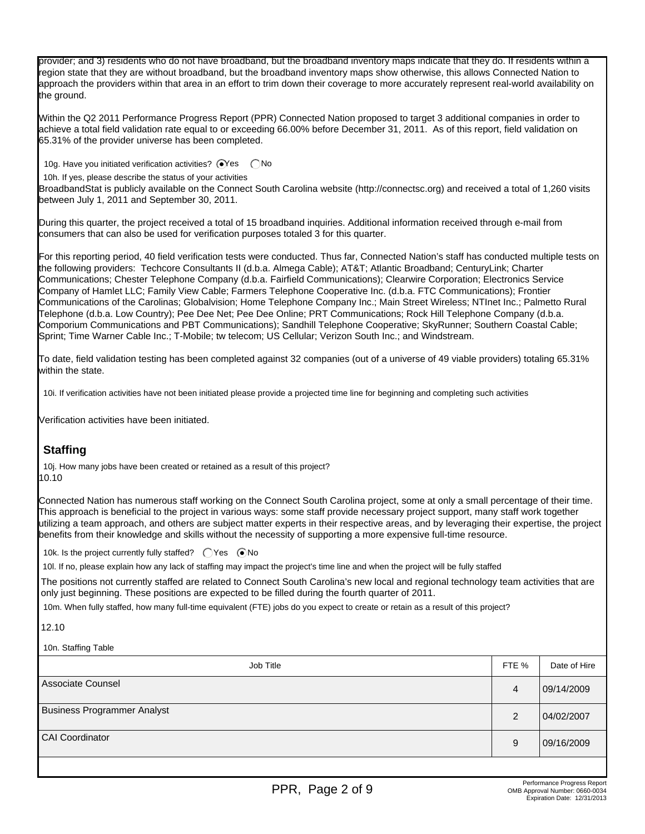provider; and 3) residents who do not have broadband, but the broadband inventory maps indicate that they do. If residents within a region state that they are without broadband, but the broadband inventory maps show otherwise, this allows Connected Nation to approach the providers within that area in an effort to trim down their coverage to more accurately represent real-world availability on the ground.

Within the Q2 2011 Performance Progress Report (PPR) Connected Nation proposed to target 3 additional companies in order to achieve a total field validation rate equal to or exceeding 66.00% before December 31, 2011. As of this report, field validation on 65.31% of the provider universe has been completed.

10g. Have you initiated verification activities?  $\bigcirc$ Yes  $\bigcirc$ No

10h. If yes, please describe the status of your activities

BroadbandStat is publicly available on the Connect South Carolina website (http://connectsc.org) and received a total of 1,260 visits between July 1, 2011 and September 30, 2011.

During this quarter, the project received a total of 15 broadband inquiries. Additional information received through e-mail from consumers that can also be used for verification purposes totaled 3 for this quarter.

For this reporting period, 40 field verification tests were conducted. Thus far, Connected Nation's staff has conducted multiple tests on the following providers: Techcore Consultants II (d.b.a. Almega Cable); AT&T; Atlantic Broadband; CenturyLink; Charter Communications; Chester Telephone Company (d.b.a. Fairfield Communications); Clearwire Corporation; Electronics Service Company of Hamlet LLC; Family View Cable; Farmers Telephone Cooperative Inc. (d.b.a. FTC Communications); Frontier Communications of the Carolinas; Globalvision; Home Telephone Company Inc.; Main Street Wireless; NTInet Inc.; Palmetto Rural Telephone (d.b.a. Low Country); Pee Dee Net; Pee Dee Online; PRT Communications; Rock Hill Telephone Company (d.b.a. Comporium Communications and PBT Communications); Sandhill Telephone Cooperative; SkyRunner; Southern Coastal Cable; Sprint; Time Warner Cable Inc.; T-Mobile; tw telecom; US Cellular; Verizon South Inc.; and Windstream.

To date, field validation testing has been completed against 32 companies (out of a universe of 49 viable providers) totaling 65.31% within the state.

10i. If verification activities have not been initiated please provide a projected time line for beginning and completing such activities

Verification activities have been initiated.

# **Staffing**

10j. How many jobs have been created or retained as a result of this project? 10.10

Connected Nation has numerous staff working on the Connect South Carolina project, some at only a small percentage of their time. This approach is beneficial to the project in various ways: some staff provide necessary project support, many staff work together utilizing a team approach, and others are subject matter experts in their respective areas, and by leveraging their expertise, the project benefits from their knowledge and skills without the necessity of supporting a more expensive full-time resource.

10k. Is the project currently fully staffed?  $\bigcap$  Yes  $\bigcirc$  No

10l. If no, please explain how any lack of staffing may impact the project's time line and when the project will be fully staffed

The positions not currently staffed are related to Connect South Carolina's new local and regional technology team activities that are only just beginning. These positions are expected to be filled during the fourth quarter of 2011.

10m. When fully staffed, how many full-time equivalent (FTE) jobs do you expect to create or retain as a result of this project?

12.10

10n. Staffing Table

| Job Title                          | FTE %          | Date of Hire |
|------------------------------------|----------------|--------------|
| Associate Counsel                  | 4              | 09/14/2009   |
| <b>Business Programmer Analyst</b> | $\overline{2}$ | 04/02/2007   |
| <b>CAI Coordinator</b>             | 9              | 09/16/2009   |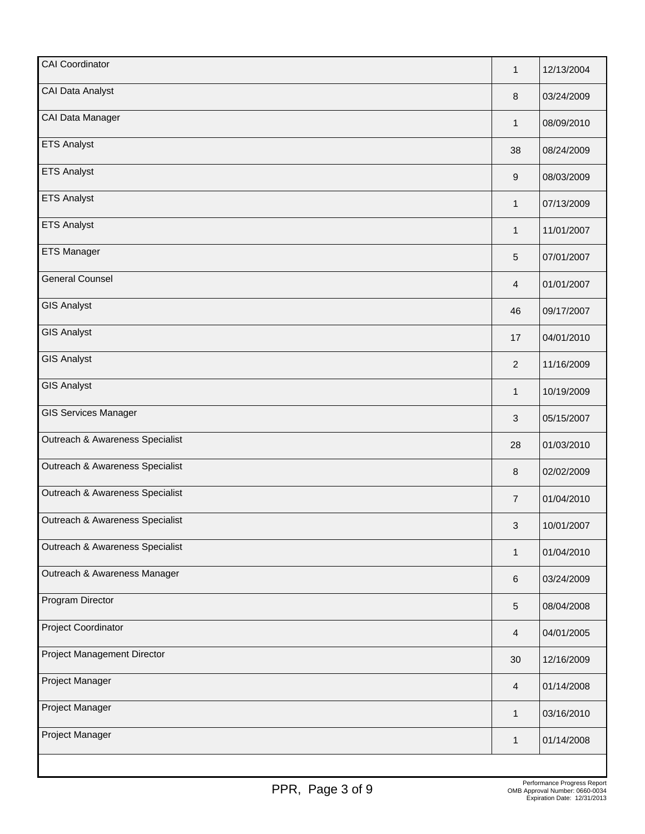| <b>CAI Coordinator</b>          | $\mathbf{1}$   | 12/13/2004 |
|---------------------------------|----------------|------------|
| <b>CAI Data Analyst</b>         | $\,8\,$        | 03/24/2009 |
| CAI Data Manager                | $\mathbf{1}$   | 08/09/2010 |
| <b>ETS Analyst</b>              | 38             | 08/24/2009 |
| <b>ETS Analyst</b>              | 9              | 08/03/2009 |
| <b>ETS Analyst</b>              | 1              | 07/13/2009 |
| <b>ETS Analyst</b>              | $\mathbf{1}$   | 11/01/2007 |
| <b>ETS Manager</b>              | 5              | 07/01/2007 |
| <b>General Counsel</b>          | $\overline{4}$ | 01/01/2007 |
| <b>GIS Analyst</b>              | 46             | 09/17/2007 |
| <b>GIS Analyst</b>              | 17             | 04/01/2010 |
| <b>GIS Analyst</b>              | $\overline{2}$ | 11/16/2009 |
| <b>GIS Analyst</b>              | $\mathbf{1}$   | 10/19/2009 |
| <b>GIS Services Manager</b>     | 3              | 05/15/2007 |
| Outreach & Awareness Specialist | 28             | 01/03/2010 |
| Outreach & Awareness Specialist | $\,8\,$        | 02/02/2009 |
| Outreach & Awareness Specialist | $\overline{7}$ | 01/04/2010 |
| Outreach & Awareness Specialist | 3              | 10/01/2007 |
| Outreach & Awareness Specialist | $\mathbf{1}$   | 01/04/2010 |
| Outreach & Awareness Manager    | 6              | 03/24/2009 |
| Program Director                | 5              | 08/04/2008 |
| Project Coordinator             | 4              | 04/01/2005 |
| Project Management Director     | 30             | 12/16/2009 |
| Project Manager                 | 4              | 01/14/2008 |
| Project Manager                 | $\mathbf{1}$   | 03/16/2010 |
| Project Manager                 | 1              | 01/14/2008 |
|                                 |                |            |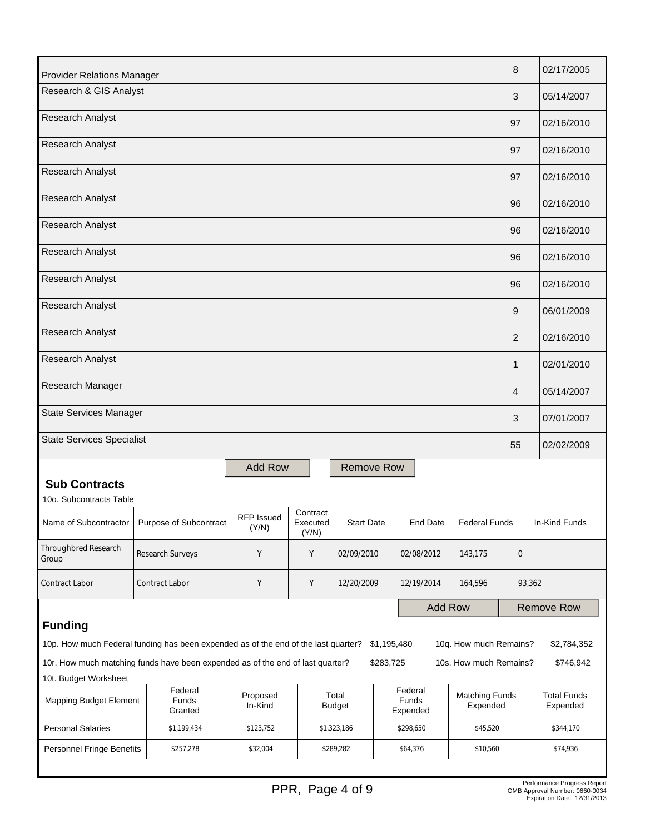| <b>Provider Relations Manager</b>                                                                                                                                              | 8              | 02/17/2005                     |  |  |  |  |
|--------------------------------------------------------------------------------------------------------------------------------------------------------------------------------|----------------|--------------------------------|--|--|--|--|
| Research & GIS Analyst                                                                                                                                                         | 3              | 05/14/2007                     |  |  |  |  |
| <b>Research Analyst</b>                                                                                                                                                        | 97             | 02/16/2010                     |  |  |  |  |
| Research Analyst                                                                                                                                                               | 97             | 02/16/2010                     |  |  |  |  |
| Research Analyst                                                                                                                                                               | 97             | 02/16/2010                     |  |  |  |  |
| <b>Research Analyst</b>                                                                                                                                                        | 96             | 02/16/2010                     |  |  |  |  |
| Research Analyst                                                                                                                                                               | 96             | 02/16/2010                     |  |  |  |  |
| Research Analyst                                                                                                                                                               | 96             | 02/16/2010                     |  |  |  |  |
| <b>Research Analyst</b>                                                                                                                                                        | 96             | 02/16/2010                     |  |  |  |  |
| Research Analyst                                                                                                                                                               | 9              | 06/01/2009                     |  |  |  |  |
| Research Analyst                                                                                                                                                               | $\overline{2}$ | 02/16/2010                     |  |  |  |  |
| Research Analyst                                                                                                                                                               | $\mathbf{1}$   | 02/01/2010                     |  |  |  |  |
| Research Manager                                                                                                                                                               | 4              | 05/14/2007                     |  |  |  |  |
| <b>State Services Manager</b>                                                                                                                                                  | 3              | 07/01/2007                     |  |  |  |  |
| <b>State Services Specialist</b>                                                                                                                                               | 55             | 02/02/2009                     |  |  |  |  |
| <b>Add Row</b><br><b>Remove Row</b>                                                                                                                                            |                |                                |  |  |  |  |
| <b>Sub Contracts</b><br>10o. Subcontracts Table                                                                                                                                |                |                                |  |  |  |  |
| Contract<br><b>RFP Issued</b><br>Purpose of Subcontract<br><b>End Date</b><br><b>Federal Funds</b><br>Name of Subcontractor<br>Executed<br><b>Start Date</b><br>(Y/N)<br>(Y/N) |                | In-Kind Funds                  |  |  |  |  |
| Throughbred Research<br>Υ<br>Y<br>02/09/2010<br>Research Surveys<br>02/08/2012<br>143,175<br>Group                                                                             | $\mathbf 0$    |                                |  |  |  |  |
| Υ<br>Y<br>Contract Labor<br>Contract Labor<br>12/20/2009<br>12/19/2014<br>164,596                                                                                              | 93,362         |                                |  |  |  |  |
| <b>Add Row</b>                                                                                                                                                                 |                | <b>Remove Row</b>              |  |  |  |  |
| <b>Funding</b>                                                                                                                                                                 |                |                                |  |  |  |  |
| 10p. How much Federal funding has been expended as of the end of the last quarter?<br>10q. How much Remains?<br>\$1,195,480<br>\$2,784,352                                     |                |                                |  |  |  |  |
| 10r. How much matching funds have been expended as of the end of last quarter?<br>\$283,725<br>10s. How much Remains?<br>\$746,942                                             |                |                                |  |  |  |  |
| 10t. Budget Worksheet<br>Federal<br>Federal                                                                                                                                    |                |                                |  |  |  |  |
| Proposed<br>Total<br><b>Matching Funds</b><br>Mapping Budget Element<br>Funds<br>Funds<br>In-Kind<br>Expended<br><b>Budget</b><br>Granted<br>Expended                          |                | <b>Total Funds</b><br>Expended |  |  |  |  |
| <b>Personal Salaries</b><br>\$1,199,434<br>\$123,752<br>\$1,323,186<br>\$298,650<br>\$45,520                                                                                   |                | \$344,170                      |  |  |  |  |
| Personnel Fringe Benefits<br>\$257,278<br>\$32,004<br>\$289,282<br>\$64,376<br>\$10,560                                                                                        |                | \$74,936                       |  |  |  |  |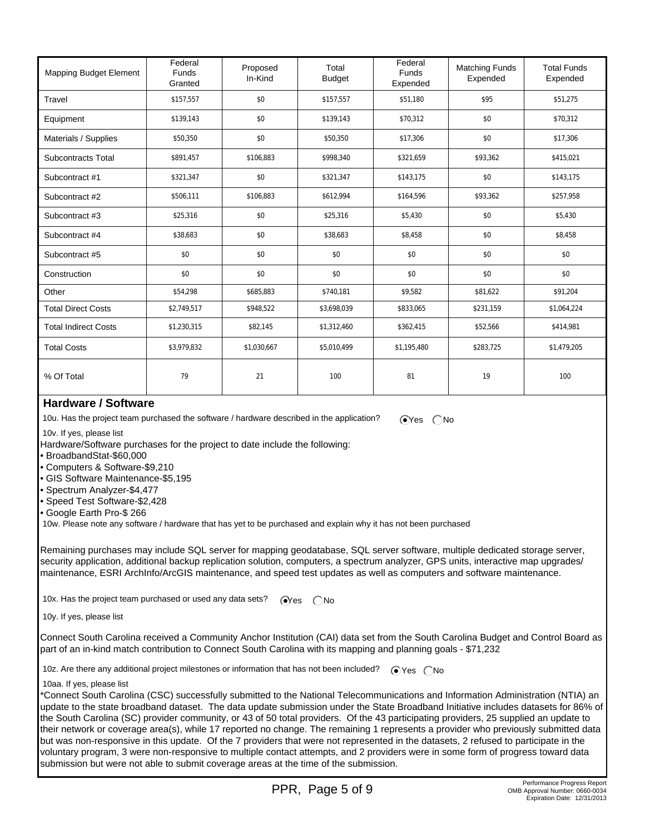| <b>Mapping Budget Element</b> | Federal<br><b>Funds</b><br>Granted | Proposed<br>In-Kind | Total<br><b>Budget</b> | Federal<br><b>Funds</b><br>Expended | <b>Matching Funds</b><br>Expended | <b>Total Funds</b><br>Expended |
|-------------------------------|------------------------------------|---------------------|------------------------|-------------------------------------|-----------------------------------|--------------------------------|
| Travel                        | \$157,557                          | \$0                 | \$157,557              | \$51,180                            | \$95                              | \$51,275                       |
| Equipment                     | \$139,143                          | \$0                 | \$139,143              | \$70,312                            | \$0                               | \$70,312                       |
| Materials / Supplies          | \$50,350                           | \$0                 | \$50,350               | \$17,306                            | \$0                               | \$17,306                       |
| <b>Subcontracts Total</b>     | \$891,457                          | \$106.883           | \$998,340              | \$321,659                           | \$93,362                          | \$415,021                      |
| Subcontract #1                | \$321,347                          | \$0                 | \$321,347              | \$143,175                           | \$0                               | \$143,175                      |
| Subcontract #2                | \$506,111                          | \$106,883           | \$612,994              | \$164,596                           | \$93,362                          | \$257,958                      |
| Subcontract #3                | \$25,316                           | \$0                 | \$25,316               | \$5,430                             | \$0                               | \$5,430                        |
| Subcontract #4                | \$38,683                           | \$0                 | \$38,683               | \$8,458                             | \$0                               | \$8,458                        |
| Subcontract #5                | \$0                                | \$0                 | \$0                    | \$0                                 | \$0                               | \$0                            |
| Construction                  | \$0                                | \$0                 | \$0                    | \$0                                 | \$0                               | \$0                            |
| Other                         | \$54,298                           | \$685,883           | \$740,181              | \$9,582                             | \$81,622                          | \$91,204                       |
| <b>Total Direct Costs</b>     | \$2,749,517                        | \$948,522           | \$3,698,039            | \$833,065                           | \$231,159                         | \$1,064,224                    |
| <b>Total Indirect Costs</b>   | \$1,230,315                        | \$82,145            | \$1,312,460            | \$362,415                           | \$52,566                          | \$414,981                      |
| <b>Total Costs</b>            | \$3,979,832                        | \$1,030,667         | \$5,010,499            | \$1,195,480                         | \$283,725                         | \$1,479,205                    |
| % Of Total                    | 79                                 | 21                  | 100                    | 81                                  | 19                                | 100                            |

#### **Hardware / Software**

10u. Has the project team purchased the software / hardware described in the application?  $\bigcirc$ Yes  $\bigcirc$ No

10v. If yes, please list

Hardware/Software purchases for the project to date include the following:

- BroadbandStat-\$60,000
- Computers & Software-\$9,210
- GIS Software Maintenance-\$5,195
- Spectrum Analyzer-\$4,477
- Speed Test Software-\$2,428
- Google Earth Pro-\$ 266

10w. Please note any software / hardware that has yet to be purchased and explain why it has not been purchased

Remaining purchases may include SQL server for mapping geodatabase, SQL server software, multiple dedicated storage server, security application, additional backup replication solution, computers, a spectrum analyzer, GPS units, interactive map upgrades/ maintenance, ESRI ArchInfo/ArcGIS maintenance, and speed test updates as well as computers and software maintenance.

10x. Has the project team purchased or used any data sets?  $\bigcirc$ Yes  $\bigcirc$ No

10y. If yes, please list

Connect South Carolina received a Community Anchor Institution (CAI) data set from the South Carolina Budget and Control Board as part of an in-kind match contribution to Connect South Carolina with its mapping and planning goals - \$71,232

10z. Are there any additional project milestones or information that has not been included?  $\bigcirc$  Yes  $\bigcirc$  No

10aa. If yes, please list

\*Connect South Carolina (CSC) successfully submitted to the National Telecommunications and Information Administration (NTIA) an update to the state broadband dataset. The data update submission under the State Broadband Initiative includes datasets for 86% of the South Carolina (SC) provider community, or 43 of 50 total providers. Of the 43 participating providers, 25 supplied an update to their network or coverage area(s), while 17 reported no change. The remaining 1 represents a provider who previously submitted data but was non-responsive in this update. Of the 7 providers that were not represented in the datasets, 2 refused to participate in the voluntary program, 3 were non-responsive to multiple contact attempts, and 2 providers were in some form of progress toward data submission but were not able to submit coverage areas at the time of the submission.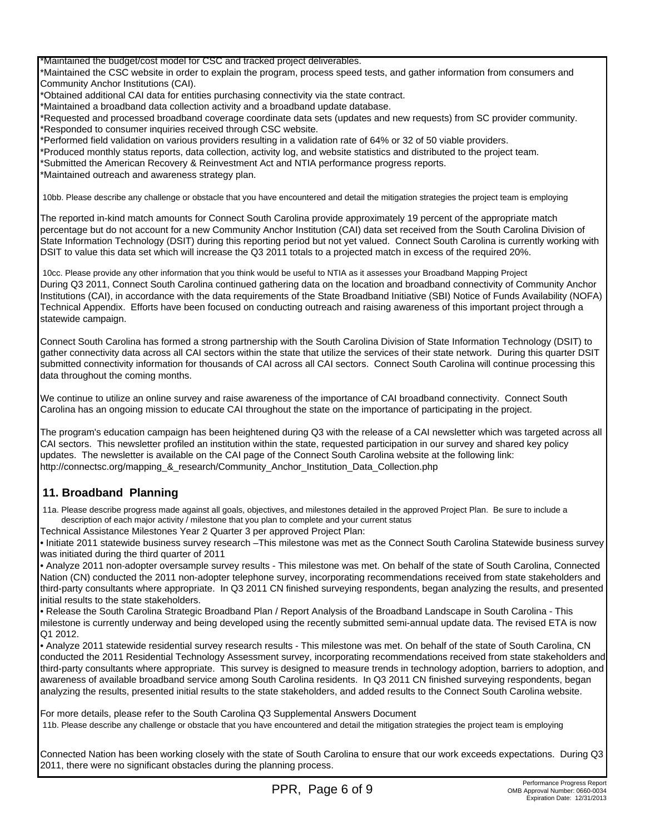\*Maintained the budget/cost model for CSC and tracked project deliverables.

\*Maintained the CSC website in order to explain the program, process speed tests, and gather information from consumers and Community Anchor Institutions (CAI).

\*Obtained additional CAI data for entities purchasing connectivity via the state contract.

\*Maintained a broadband data collection activity and a broadband update database.

\*Requested and processed broadband coverage coordinate data sets (updates and new requests) from SC provider community. \*Responded to consumer inquiries received through CSC website.

\*Performed field validation on various providers resulting in a validation rate of 64% or 32 of 50 viable providers.

\*Produced monthly status reports, data collection, activity log, and website statistics and distributed to the project team.

\*Submitted the American Recovery & Reinvestment Act and NTIA performance progress reports.

\*Maintained outreach and awareness strategy plan.

10bb. Please describe any challenge or obstacle that you have encountered and detail the mitigation strategies the project team is employing

The reported in-kind match amounts for Connect South Carolina provide approximately 19 percent of the appropriate match percentage but do not account for a new Community Anchor Institution (CAI) data set received from the South Carolina Division of State Information Technology (DSIT) during this reporting period but not yet valued. Connect South Carolina is currently working with DSIT to value this data set which will increase the Q3 2011 totals to a projected match in excess of the required 20%.

 10cc. Please provide any other information that you think would be useful to NTIA as it assesses your Broadband Mapping Project During Q3 2011, Connect South Carolina continued gathering data on the location and broadband connectivity of Community Anchor Institutions (CAI), in accordance with the data requirements of the State Broadband Initiative (SBI) Notice of Funds Availability (NOFA) Technical Appendix. Efforts have been focused on conducting outreach and raising awareness of this important project through a statewide campaign.

Connect South Carolina has formed a strong partnership with the South Carolina Division of State Information Technology (DSIT) to gather connectivity data across all CAI sectors within the state that utilize the services of their state network. During this quarter DSIT submitted connectivity information for thousands of CAI across all CAI sectors. Connect South Carolina will continue processing this data throughout the coming months.

We continue to utilize an online survey and raise awareness of the importance of CAI broadband connectivity. Connect South Carolina has an ongoing mission to educate CAI throughout the state on the importance of participating in the project.

The program's education campaign has been heightened during Q3 with the release of a CAI newsletter which was targeted across all CAI sectors. This newsletter profiled an institution within the state, requested participation in our survey and shared key policy updates. The newsletter is available on the CAI page of the Connect South Carolina website at the following link: http://connectsc.org/mapping\_&\_research/Community\_Anchor\_Institution\_Data\_Collection.php

## **11. Broadband Planning**

 11a. Please describe progress made against all goals, objectives, and milestones detailed in the approved Project Plan. Be sure to include a description of each major activity / milestone that you plan to complete and your current status

Technical Assistance Milestones Year 2 Quarter 3 per approved Project Plan:

• Initiate 2011 statewide business survey research –This milestone was met as the Connect South Carolina Statewide business survey was initiated during the third quarter of 2011

• Analyze 2011 non‐adopter oversample survey results - This milestone was met. On behalf of the state of South Carolina, Connected Nation (CN) conducted the 2011 non-adopter telephone survey, incorporating recommendations received from state stakeholders and third-party consultants where appropriate. In Q3 2011 CN finished surveying respondents, began analyzing the results, and presented initial results to the state stakeholders.

• Release the South Carolina Strategic Broadband Plan / Report Analysis of the Broadband Landscape in South Carolina - This milestone is currently underway and being developed using the recently submitted semi-annual update data. The revised ETA is now Q1 2012.

• Analyze 2011 statewide residential survey research results - This milestone was met. On behalf of the state of South Carolina, CN conducted the 2011 Residential Technology Assessment survey, incorporating recommendations received from state stakeholders and third-party consultants where appropriate. This survey is designed to measure trends in technology adoption, barriers to adoption, and awareness of available broadband service among South Carolina residents. In Q3 2011 CN finished surveying respondents, began analyzing the results, presented initial results to the state stakeholders, and added results to the Connect South Carolina website.

For more details, please refer to the South Carolina Q3 Supplemental Answers Document 11b. Please describe any challenge or obstacle that you have encountered and detail the mitigation strategies the project team is employing

Connected Nation has been working closely with the state of South Carolina to ensure that our work exceeds expectations. During Q3 2011, there were no significant obstacles during the planning process.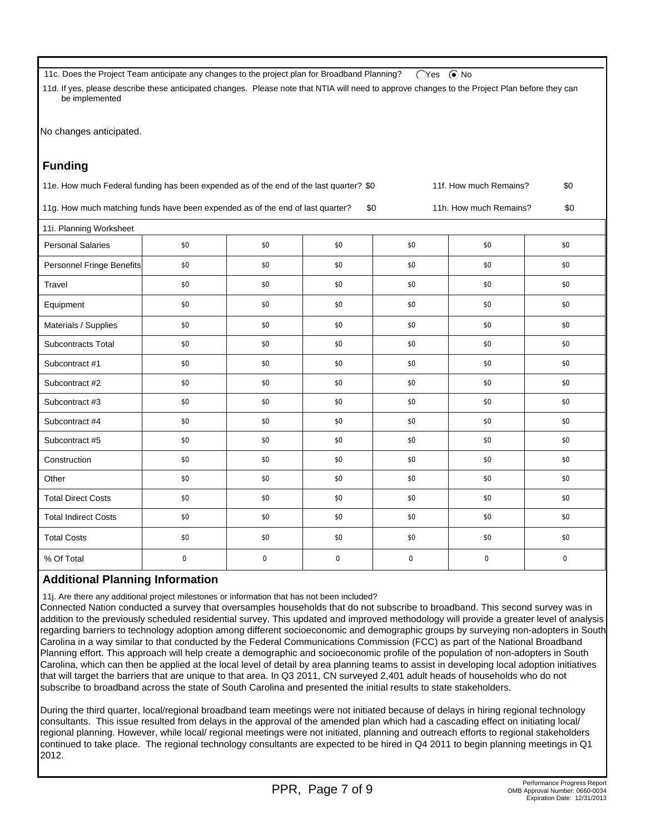11c. Does the Project Team anticipate any changes to the project plan for Broadband Planning? (Yes  $\bigcirc$  No

 11d. If yes, please describe these anticipated changes. Please note that NTIA will need to approve changes to the Project Plan before they can be implemented

No changes anticipated.

| <b>Funding</b>                                                                                                          |           |           |           |           |     |           |
|-------------------------------------------------------------------------------------------------------------------------|-----------|-----------|-----------|-----------|-----|-----------|
| 11e. How much Federal funding has been expended as of the end of the last quarter? \$0<br>\$0<br>11f. How much Remains? |           |           |           |           |     |           |
| 11g. How much matching funds have been expended as of the end of last quarter?<br>\$0<br>\$0<br>11h. How much Remains?  |           |           |           |           |     |           |
| 11i. Planning Worksheet                                                                                                 |           |           |           |           |     |           |
| <b>Personal Salaries</b>                                                                                                | \$0       | \$0       | \$0       | \$0       | \$0 | \$0       |
| Personnel Fringe Benefits                                                                                               | \$0       | \$0       | \$0       | \$0       | \$0 | \$0       |
| Travel                                                                                                                  | \$0       | \$0       | \$0       | \$0       | \$0 | \$0       |
| Equipment                                                                                                               | \$0       | \$0       | \$0       | \$0       | \$0 | \$0       |
| Materials / Supplies                                                                                                    | \$0       | \$0       | \$0       | \$0       | \$0 | \$0       |
| Subcontracts Total                                                                                                      | \$0       | \$0       | \$0       | \$0       | \$0 | \$0       |
| Subcontract #1                                                                                                          | \$0       | \$0       | \$0       | \$0       | \$0 | \$0       |
| Subcontract #2                                                                                                          | \$0       | \$0       | \$0       | \$0       | \$0 | \$0       |
| Subcontract #3                                                                                                          | \$0       | \$0       | \$0       | \$0       | \$0 | \$0       |
| Subcontract #4                                                                                                          | \$0       | \$0       | \$0       | \$0       | \$0 | \$0       |
| Subcontract #5                                                                                                          | \$0       | \$0       | \$0       | \$0       | \$0 | \$0       |
| Construction                                                                                                            | \$0       | \$0       | \$0       | \$0       | \$0 | \$0       |
| Other                                                                                                                   | \$0       | \$0       | \$0       | \$0       | \$0 | \$0       |
| <b>Total Direct Costs</b>                                                                                               | \$0       | \$0       | \$0       | \$0       | \$0 | \$0       |
| <b>Total Indirect Costs</b>                                                                                             | \$0       | \$0       | \$0       | \$0       | \$0 | \$0       |
| <b>Total Costs</b>                                                                                                      | \$0       | \$0       | \$0       | \$0       | \$0 | \$0       |
| % Of Total                                                                                                              | $\pmb{0}$ | $\pmb{0}$ | $\pmb{0}$ | $\pmb{0}$ | 0   | $\pmb{0}$ |

## **Additional Planning Information**

11j. Are there any additional project milestones or information that has not been included?

Connected Nation conducted a survey that oversamples households that do not subscribe to broadband. This second survey was in addition to the previously scheduled residential survey. This updated and improved methodology will provide a greater level of analysis regarding barriers to technology adoption among different socioeconomic and demographic groups by surveying non-adopters in South Carolina in a way similar to that conducted by the Federal Communications Commission (FCC) as part of the National Broadband Planning effort. This approach will help create a demographic and socioeconomic profile of the population of non-adopters in South Carolina, which can then be applied at the local level of detail by area planning teams to assist in developing local adoption initiatives that will target the barriers that are unique to that area. In Q3 2011, CN surveyed 2,401 adult heads of households who do not subscribe to broadband across the state of South Carolina and presented the initial results to state stakeholders.

During the third quarter, local/regional broadband team meetings were not initiated because of delays in hiring regional technology consultants. This issue resulted from delays in the approval of the amended plan which had a cascading effect on initiating local/ regional planning. However, while local/ regional meetings were not initiated, planning and outreach efforts to regional stakeholders continued to take place. The regional technology consultants are expected to be hired in Q4 2011 to begin planning meetings in Q1 2012.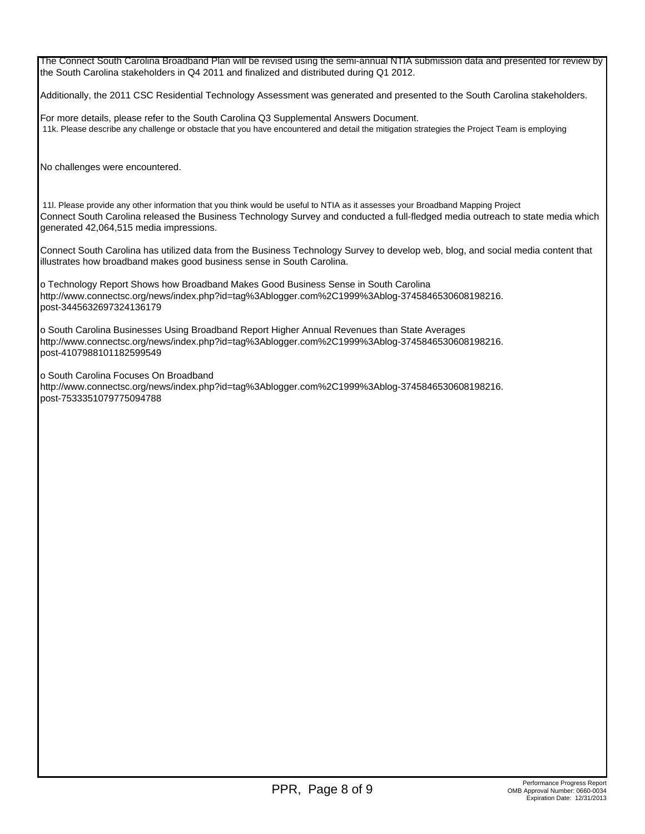The Connect South Carolina Broadband Plan will be revised using the semi-annual NTIA submission data and presented for review by the South Carolina stakeholders in Q4 2011 and finalized and distributed during Q1 2012.

Additionally, the 2011 CSC Residential Technology Assessment was generated and presented to the South Carolina stakeholders.

For more details, please refer to the South Carolina Q3 Supplemental Answers Document. 11k. Please describe any challenge or obstacle that you have encountered and detail the mitigation strategies the Project Team is employing

No challenges were encountered.

 11l. Please provide any other information that you think would be useful to NTIA as it assesses your Broadband Mapping Project Connect South Carolina released the Business Technology Survey and conducted a full-fledged media outreach to state media which generated 42,064,515 media impressions.

Connect South Carolina has utilized data from the Business Technology Survey to develop web, blog, and social media content that illustrates how broadband makes good business sense in South Carolina.

o Technology Report Shows how Broadband Makes Good Business Sense in South Carolina http://www.connectsc.org/news/index.php?id=tag%3Ablogger.com%2C1999%3Ablog-3745846530608198216. post-3445632697324136179

o South Carolina Businesses Using Broadband Report Higher Annual Revenues than State Averages http://www.connectsc.org/news/index.php?id=tag%3Ablogger.com%2C1999%3Ablog-3745846530608198216. post-4107988101182599549

o South Carolina Focuses On Broadband

http://www.connectsc.org/news/index.php?id=tag%3Ablogger.com%2C1999%3Ablog-3745846530608198216. post-7533351079775094788